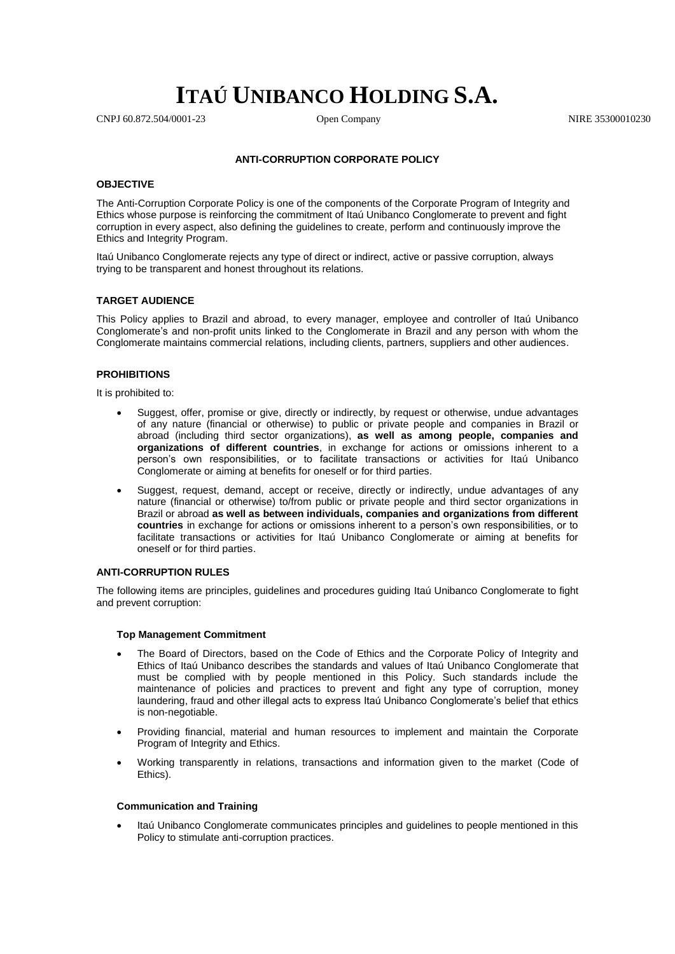# **ITAÚ UNIBANCO HOLDING S.A.**

CNPJ 60.872.504/0001-23 Open Company NIRE 35300010230

## **ANTI-CORRUPTION CORPORATE POLICY**

## **OBJECTIVE**

The Anti-Corruption Corporate Policy is one of the components of the Corporate Program of Integrity and Ethics whose purpose is reinforcing the commitment of Itaú Unibanco Conglomerate to prevent and fight corruption in every aspect, also defining the guidelines to create, perform and continuously improve the Ethics and Integrity Program.

Itaú Unibanco Conglomerate rejects any type of direct or indirect, active or passive corruption, always trying to be transparent and honest throughout its relations.

## **TARGET AUDIENCE**

This Policy applies to Brazil and abroad, to every manager, employee and controller of Itaú Unibanco Conglomerate's and non-profit units linked to the Conglomerate in Brazil and any person with whom the Conglomerate maintains commercial relations, including clients, partners, suppliers and other audiences.

#### **PROHIBITIONS**

It is prohibited to:

- Suggest, offer, promise or give, directly or indirectly, by request or otherwise, undue advantages of any nature (financial or otherwise) to public or private people and companies in Brazil or abroad (including third sector organizations), **as well as among people, companies and organizations of different countries**, in exchange for actions or omissions inherent to a person's own responsibilities, or to facilitate transactions or activities for Itaú Unibanco Conglomerate or aiming at benefits for oneself or for third parties.
- Suggest, request, demand, accept or receive, directly or indirectly, undue advantages of any nature (financial or otherwise) to/from public or private people and third sector organizations in Brazil or abroad **as well as between individuals, companies and organizations from different countries** in exchange for actions or omissions inherent to a person's own responsibilities, or to facilitate transactions or activities for Itaú Unibanco Conglomerate or aiming at benefits for oneself or for third parties.

## **ANTI-CORRUPTION RULES**

The following items are principles, guidelines and procedures guiding Itaú Unibanco Conglomerate to fight and prevent corruption:

#### **Top Management Commitment**

- The Board of Directors, based on the Code of Ethics and the Corporate Policy of Integrity and Ethics of Itaú Unibanco describes the standards and values of Itaú Unibanco Conglomerate that must be complied with by people mentioned in this Policy. Such standards include the maintenance of policies and practices to prevent and fight any type of corruption, money laundering, fraud and other illegal acts to express Itaú Unibanco Conglomerate's belief that ethics is non-negotiable.
- Providing financial, material and human resources to implement and maintain the Corporate Program of Integrity and Ethics.
- Working transparently in relations, transactions and information given to the market (Code of Ethics).

#### **Communication and Training**

 Itaú Unibanco Conglomerate communicates principles and guidelines to people mentioned in this Policy to stimulate anti-corruption practices.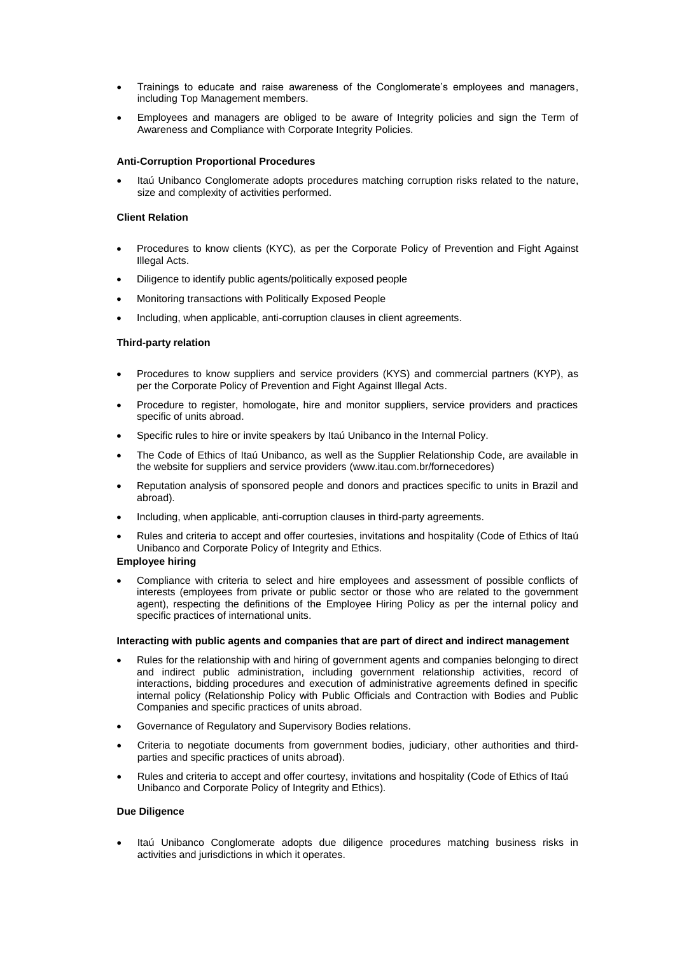- Trainings to educate and raise awareness of the Conglomerate's employees and managers, including Top Management members.
- Employees and managers are obliged to be aware of Integrity policies and sign the Term of Awareness and Compliance with Corporate Integrity Policies.

## **Anti-Corruption Proportional Procedures**

 Itaú Unibanco Conglomerate adopts procedures matching corruption risks related to the nature, size and complexity of activities performed.

# **Client Relation**

- Procedures to know clients (KYC), as per the Corporate Policy of Prevention and Fight Against Illegal Acts.
- Diligence to identify public agents/politically exposed people
- Monitoring transactions with Politically Exposed People
- Including, when applicable, anti-corruption clauses in client agreements.

# **Third-party relation**

- Procedures to know suppliers and service providers (KYS) and commercial partners (KYP), as per the Corporate Policy of Prevention and Fight Against Illegal Acts.
- Procedure to register, homologate, hire and monitor suppliers, service providers and practices specific of units abroad.
- Specific rules to hire or invite speakers by Itaú Unibanco in the Internal Policy.
- The Code of Ethics of Itaú Unibanco, as well as the Supplier Relationship Code, are available in the website for suppliers and service providers (www.itau.com.br/fornecedores)
- Reputation analysis of sponsored people and donors and practices specific to units in Brazil and abroad).
- Including, when applicable, anti-corruption clauses in third-party agreements.
- Rules and criteria to accept and offer courtesies, invitations and hospitality (Code of Ethics of Itaú Unibanco and Corporate Policy of Integrity and Ethics.

# **Employee hiring**

 Compliance with criteria to select and hire employees and assessment of possible conflicts of interests (employees from private or public sector or those who are related to the government agent), respecting the definitions of the Employee Hiring Policy as per the internal policy and specific practices of international units.

## **Interacting with public agents and companies that are part of direct and indirect management**

- Rules for the relationship with and hiring of government agents and companies belonging to direct and indirect public administration, including government relationship activities, record of interactions, bidding procedures and execution of administrative agreements defined in specific internal policy (Relationship Policy with [Public Officials and Contraction with Bodies and Public](https://www.itau.com.br/_arquivosestaticos/RI/pdf/en/HF49_-_DOC_RI_2017_Ingles.pdf?title=Relationship%20Policy%20with%20Public%20Officials%20and%20Contraction%20with%20Bodies%20and%20Public%20Companies)  [Companies](https://www.itau.com.br/_arquivosestaticos/RI/pdf/en/HF49_-_DOC_RI_2017_Ingles.pdf?title=Relationship%20Policy%20with%20Public%20Officials%20and%20Contraction%20with%20Bodies%20and%20Public%20Companies) and specific practices of units abroad.
- Governance of Regulatory and Supervisory Bodies relations.
- Criteria to negotiate documents from government bodies, judiciary, other authorities and thirdparties and specific practices of units abroad).
- Rules and criteria to accept and offer courtesy, invitations and hospitality (Code of Ethics of Itaú Unibanco and Corporate Policy of Integrity and Ethics).

# **Due Diligence**

 Itaú Unibanco Conglomerate adopts due diligence procedures matching business risks in activities and jurisdictions in which it operates.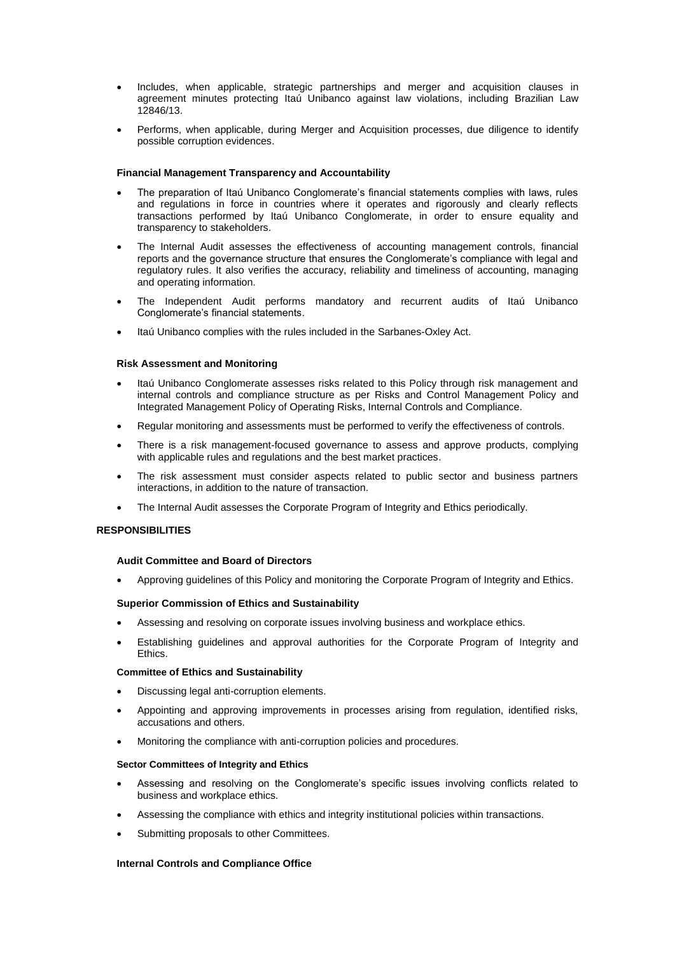- Includes, when applicable, strategic partnerships and merger and acquisition clauses in agreement minutes protecting Itaú Unibanco against law violations, including Brazilian Law 12846/13.
- Performs, when applicable, during Merger and Acquisition processes, due diligence to identify possible corruption evidences.

## **Financial Management Transparency and Accountability**

- The preparation of Itaú Unibanco Conglomerate's financial statements complies with laws, rules and regulations in force in countries where it operates and rigorously and clearly reflects transactions performed by Itaú Unibanco Conglomerate, in order to ensure equality and transparency to stakeholders.
- The Internal Audit assesses the effectiveness of accounting management controls, financial reports and the governance structure that ensures the Conglomerate's compliance with legal and regulatory rules. It also verifies the accuracy, reliability and timeliness of accounting, managing and operating information.
- The Independent Audit performs mandatory and recurrent audits of Itaú Unibanco Conglomerate's financial statements.
- Itaú Unibanco complies with the rules included in the Sarbanes-Oxley Act.

#### **Risk Assessment and Monitoring**

- Itaú Unibanco Conglomerate assesses risks related to this Policy through risk management and internal controls and compliance structure as per Risks and Control Management Policy and Integrated Management Policy of Operating Risks, Internal Controls and Compliance.
- Regular monitoring and assessments must be performed to verify the effectiveness of controls.
- There is a risk management-focused governance to assess and approve products, complying with applicable rules and regulations and the best market practices.
- The risk assessment must consider aspects related to public sector and business partners interactions, in addition to the nature of transaction.
- The Internal Audit assesses the Corporate Program of Integrity and Ethics periodically.

## **RESPONSIBILITIES**

#### **Audit Committee and Board of Directors**

Approving guidelines of this Policy and monitoring the Corporate Program of Integrity and Ethics.

## **Superior Commission of Ethics and Sustainability**

- Assessing and resolving on corporate issues involving business and workplace ethics.
- Establishing guidelines and approval authorities for the Corporate Program of Integrity and **Ethics**

#### **Committee of Ethics and Sustainability**

- Discussing legal anti-corruption elements.
- Appointing and approving improvements in processes arising from regulation, identified risks, accusations and others.
- Monitoring the compliance with anti-corruption policies and procedures.

#### **Sector Committees of Integrity and Ethics**

- Assessing and resolving on the Conglomerate's specific issues involving conflicts related to business and workplace ethics.
- Assessing the compliance with ethics and integrity institutional policies within transactions.
- Submitting proposals to other Committees.

#### **Internal Controls and Compliance Office**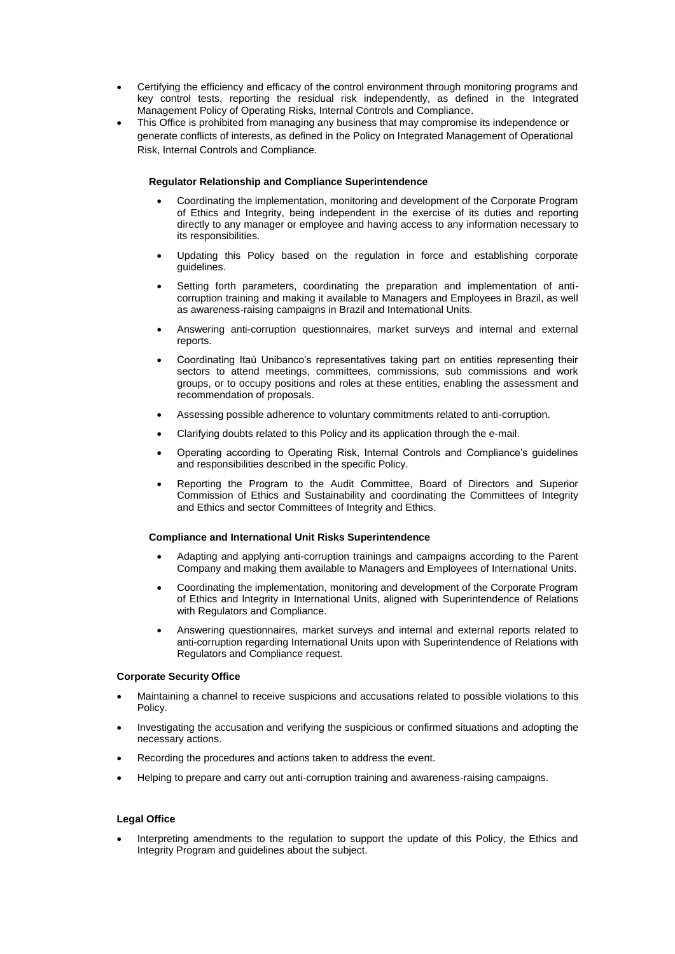- Certifying the efficiency and efficacy of the control environment through monitoring programs and key control tests, reporting the residual risk independently, as defined in the Integrated Management Policy of Operating Risks, Internal Controls and Compliance.
- This Office is prohibited from managing any business that may compromise its independence or generate conflicts of interests, as defined in the Policy on Integrated Management of Operational Risk, Internal Controls and Compliance.

## **Regulator Relationship and Compliance Superintendence**

- Coordinating the implementation, monitoring and development of the Corporate Program of Ethics and Integrity, being independent in the exercise of its duties and reporting directly to any manager or employee and having access to any information necessary to its responsibilities.
- Updating this Policy based on the regulation in force and establishing corporate guidelines.
- Setting forth parameters, coordinating the preparation and implementation of anticorruption training and making it available to Managers and Employees in Brazil, as well as awareness-raising campaigns in Brazil and International Units.
- Answering anti-corruption questionnaires, market surveys and internal and external reports.
- Coordinating Itaú Unibanco's representatives taking part on entities representing their sectors to attend meetings, committees, commissions, sub commissions and work groups, or to occupy positions and roles at these entities, enabling the assessment and recommendation of proposals.
- Assessing possible adherence to voluntary commitments related to anti-corruption.
- Clarifying doubts related to this Policy and its application through the e-mail.
- Operating according to Operating Risk, Internal Controls and Compliance's guidelines and responsibilities described in the specific Policy.
- Reporting the Program to the Audit Committee, Board of Directors and Superior Commission of Ethics and Sustainability and coordinating the Committees of Integrity and Ethics and sector Committees of Integrity and Ethics.

## **Compliance and International Unit Risks Superintendence**

- Adapting and applying anti-corruption trainings and campaigns according to the Parent Company and making them available to Managers and Employees of International Units.
- Coordinating the implementation, monitoring and development of the Corporate Program of Ethics and Integrity in International Units, aligned with Superintendence of Relations with Regulators and Compliance.
- Answering questionnaires, market surveys and internal and external reports related to anti-corruption regarding International Units upon with Superintendence of Relations with Regulators and Compliance request.

## **Corporate Security Office**

- Maintaining a channel to receive suspicions and accusations related to possible violations to this Policy.
- Investigating the accusation and verifying the suspicious or confirmed situations and adopting the necessary actions.
- Recording the procedures and actions taken to address the event.
- Helping to prepare and carry out anti-corruption training and awareness-raising campaigns.

## **Legal Office**

 Interpreting amendments to the regulation to support the update of this Policy, the Ethics and Integrity Program and guidelines about the subject.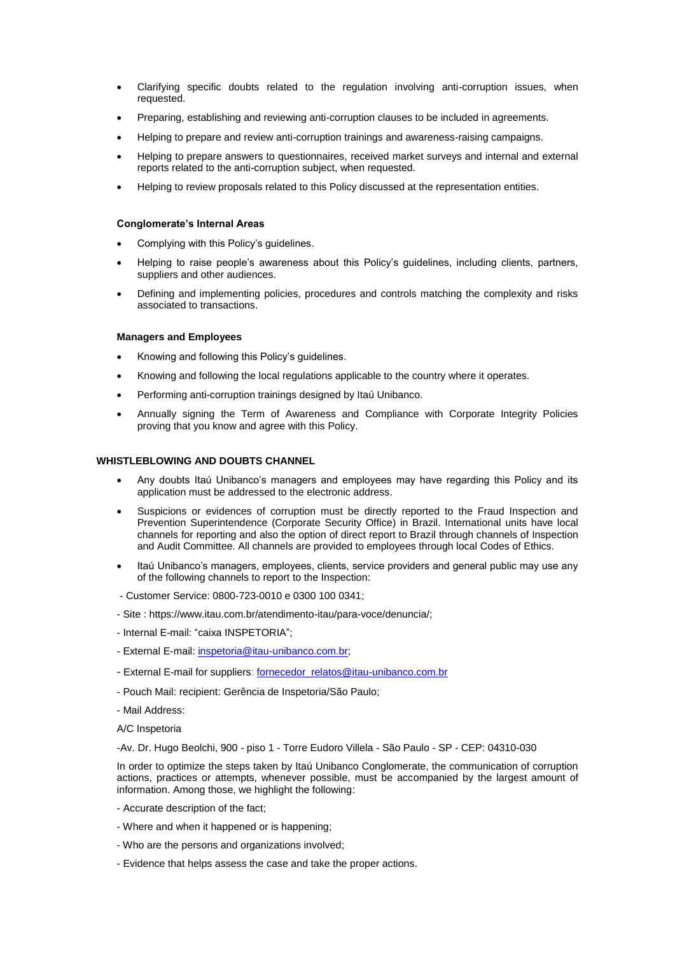- Clarifying specific doubts related to the regulation involving anti-corruption issues, when requested.
- Preparing, establishing and reviewing anti-corruption clauses to be included in agreements.
- Helping to prepare and review anti-corruption trainings and awareness-raising campaigns.
- Helping to prepare answers to questionnaires, received market surveys and internal and external reports related to the anti-corruption subject, when requested.
- Helping to review proposals related to this Policy discussed at the representation entities.

## **Conglomerate's Internal Areas**

- Complying with this Policy's guidelines.
- Helping to raise people's awareness about this Policy's guidelines, including clients, partners, suppliers and other audiences.
- Defining and implementing policies, procedures and controls matching the complexity and risks associated to transactions.

#### **Managers and Employees**

- Knowing and following this Policy's guidelines.
- Knowing and following the local regulations applicable to the country where it operates.
- Performing anti-corruption trainings designed by Itaú Unibanco.
- Annually signing the Term of Awareness and Compliance with Corporate Integrity Policies proving that you know and agree with this Policy.

#### **WHISTLEBLOWING AND DOUBTS CHANNEL**

- Any doubts Itaú Unibanco's managers and employees may have regarding this Policy and its application must be addressed to the electronic address.
- Suspicions or evidences of corruption must be directly reported to the Fraud Inspection and Prevention Superintendence (Corporate Security Office) in Brazil. International units have local channels for reporting and also the option of direct report to Brazil through channels of Inspection and Audit Committee. All channels are provided to employees through local Codes of Ethics.
- Itaú Unibanco's managers, employees, clients, service providers and general public may use any of the following channels to report to the Inspection:
- Customer Service: 0800-723-0010 e 0300 100 0341;
- Site : https://www.itau.com.br/atendimento-itau/para-voce/denuncia/;
- Internal E-mail: "caixa INSPETORIA";
- External E-mail[: inspetoria@itau-unibanco.com.br;](mailto:inspetoria@itau-unibanco.com.br)
- External E-mail for suppliers: fornecedor\_relatos@itau-unibanco.com.br
- Pouch Mail: recipient: Gerência de Inspetoria/São Paulo;
- Mail Address:
- A/C Inspetoria

-Av. Dr. Hugo Beolchi, 900 - piso 1 - Torre Eudoro Villela - São Paulo - SP - CEP: 04310-030

In order to optimize the steps taken by Itaú Unibanco Conglomerate, the communication of corruption actions, practices or attempts, whenever possible, must be accompanied by the largest amount of information. Among those, we highlight the following:

- Accurate description of the fact;
- Where and when it happened or is happening;
- Who are the persons and organizations involved;
- Evidence that helps assess the case and take the proper actions.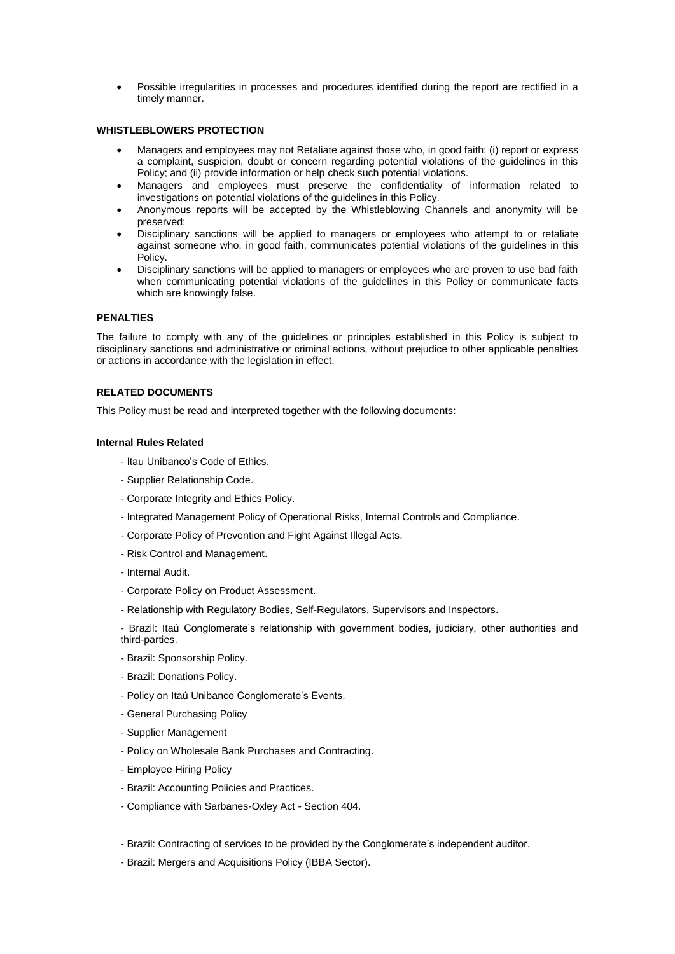Possible irregularities in processes and procedures identified during the report are rectified in a timely manner.

## **WHISTLEBLOWERS PROTECTION**

- Managers and employees may not Retaliate against those who, in good faith: (i) report or express a complaint, suspicion, doubt or concern regarding potential violations of the guidelines in this Policy; and (ii) provide information or help check such potential violations.
- Managers and employees must preserve the confidentiality of information related to investigations on potential violations of the guidelines in this Policy.
- Anonymous reports will be accepted by the Whistleblowing Channels and anonymity will be preserved;
- Disciplinary sanctions will be applied to managers or employees who attempt to or retaliate against someone who, in good faith, communicates potential violations of the guidelines in this Policy.
- Disciplinary sanctions will be applied to managers or employees who are proven to use bad faith when communicating potential violations of the guidelines in this Policy or communicate facts which are knowingly false.

# **PENALTIES**

The failure to comply with any of the guidelines or principles established in this Policy is subject to disciplinary sanctions and administrative or criminal actions, without prejudice to other applicable penalties or actions in accordance with the legislation in effect.

# **RELATED DOCUMENTS**

This Policy must be read and interpreted together with the following documents:

## **Internal Rules Related**

- Itau Unibanco's Code of Ethics.
- Supplier Relationship Code.
- Corporate Integrity and Ethics Policy.
- Integrated Management Policy of Operational Risks, Internal Controls and Compliance.
- Corporate Policy of Prevention and Fight Against Illegal Acts.
- Risk Control and Management.
- Internal Audit.
- Corporate Policy on Product Assessment.
- Relationship with Regulatory Bodies, Self-Regulators, Supervisors and Inspectors.

- Brazil: Itaú Conglomerate's relationship with government bodies, judiciary, other authorities and third-parties.

- Brazil: Sponsorship Policy.
- Brazil: Donations Policy.
- Policy on Itaú Unibanco Conglomerate's Events.
- General Purchasing Policy
- Supplier Management
- Policy on Wholesale Bank Purchases and Contracting.
- Employee Hiring Policy
- Brazil: Accounting Policies and Practices.
- Compliance with Sarbanes-Oxley Act Section 404.
- Brazil: Contracting of services to be provided by the Conglomerate's independent auditor.
- Brazil: Mergers and Acquisitions Policy (IBBA Sector).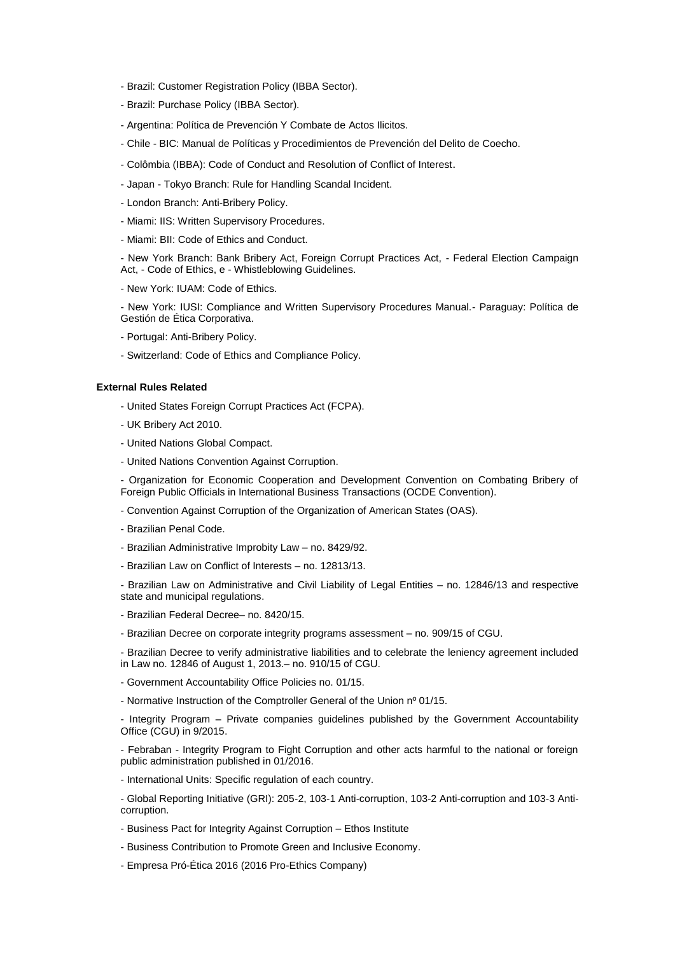- Brazil: Customer Registration Policy (IBBA Sector).
- Brazil: Purchase Policy (IBBA Sector).
- Argentina: Política de Prevención Y Combate de Actos Ilicitos.
- Chile BIC: Manual de Políticas y Procedimientos de Prevención del Delito de Coecho.
- Colômbia (IBBA): Code of Conduct and Resolution of Conflict of Interest.
- Japan Tokyo Branch: Rule for Handling Scandal Incident.
- London Branch: Anti-Bribery Policy.
- Miami: IIS: Written Supervisory Procedures.
- Miami: BII: Code of Ethics and Conduct.

- New York Branch: Bank Bribery Act, Foreign Corrupt Practices Act, - Federal Election Campaign Act, - Code of Ethics, e - Whistleblowing Guidelines.

- New York: IUAM: Code of Ethics.

- New York: IUSI: Compliance and Written Supervisory Procedures Manual.- Paraguay: Política de Gestión de Ética Corporativa.

- Portugal: Anti-Bribery Policy.
- Switzerland: Code of Ethics and Compliance Policy.

#### **External Rules Related**

- United States Foreign Corrupt Practices Act (FCPA).
- UK Bribery Act 2010.
- United Nations Global Compact.
- United Nations Convention Against Corruption.

- Organization for Economic Cooperation and Development Convention on Combating Bribery of Foreign Public Officials in International Business Transactions (OCDE Convention).

- Convention Against Corruption of the Organization of American States (OAS).
- Brazilian Penal Code.
- Brazilian Administrative Improbity Law no. 8429/92.
- Brazilian Law on Conflict of Interests no. 12813/13.

- Brazilian Law on Administrative and Civil Liability of Legal Entities – no. 12846/13 and respective state and municipal regulations.

- Brazilian Federal Decree– no. 8420/15.
- Brazilian Decree on corporate integrity programs assessment no. 909/15 of CGU.

- Brazilian Decree to verify administrative liabilities and to celebrate the leniency agreement included in Law no. 12846 of August 1, 2013.– no. 910/15 of CGU.

- Government Accountability Office Policies no. 01/15.
- Normative Instruction of the Comptroller General of the Union nº 01/15.

- Integrity Program – Private companies guidelines published by the Government Accountability Office (CGU) in 9/2015.

- Febraban - Integrity Program to Fight Corruption and other acts harmful to the national or foreign public administration published in 01/2016.

- International Units: Specific regulation of each country.

- Global Reporting Initiative (GRI): 205-2, 103-1 Anti-corruption, 103-2 Anti-corruption and 103-3 Anticorruption.

- Business Pact for Integrity Against Corruption Ethos Institute
- Business Contribution to Promote Green and Inclusive Economy.
- Empresa Pró-Ética 2016 (2016 Pro-Ethics Company)